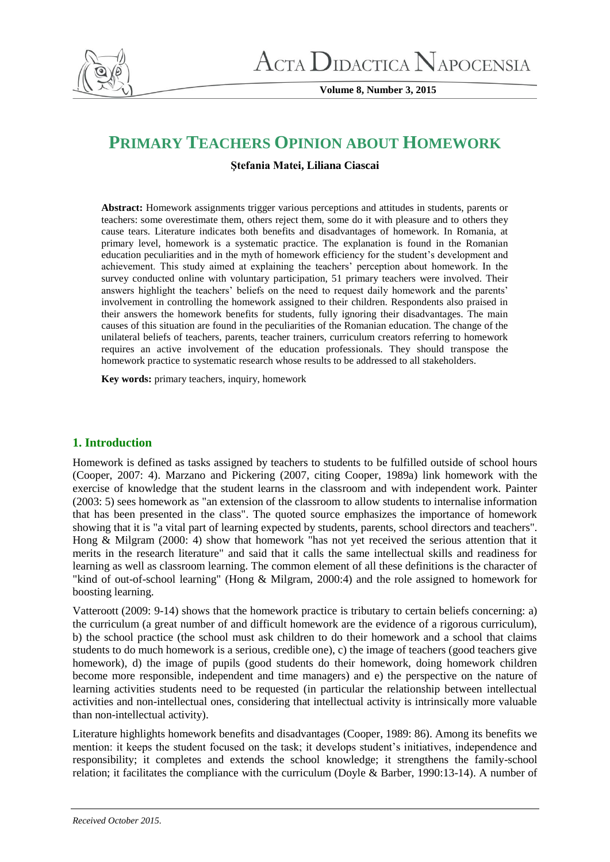

**Volume 8, Number 3, 2015**

# **PRIMARY TEACHERS OPINION ABOUT HOMEWORK**

**Ştefania Matei, Liliana Ciascai**

**Abstract:** Homework assignments trigger various perceptions and attitudes in students, parents or teachers: some overestimate them, others reject them, some do it with pleasure and to others they cause tears. Literature indicates both benefits and disadvantages of homework. In Romania, at primary level, homework is a systematic practice. The explanation is found in the Romanian education peculiarities and in the myth of homework efficiency for the student's development and achievement. This study aimed at explaining the teachers' perception about homework. In the survey conducted online with voluntary participation, 51 primary teachers were involved. Their answers highlight the teachers' beliefs on the need to request daily homework and the parents' involvement in controlling the homework assigned to their children. Respondents also praised in their answers the homework benefits for students, fully ignoring their disadvantages. The main causes of this situation are found in the peculiarities of the Romanian education. The change of the unilateral beliefs of teachers, parents, teacher trainers, curriculum creators referring to homework requires an active involvement of the education professionals. They should transpose the homework practice to systematic research whose results to be addressed to all stakeholders.

**Key words:** primary teachers, inquiry, homework

# **1. Introduction**

Homework is defined as tasks assigned by teachers to students to be fulfilled outside of school hours (Cooper, 2007: 4). Marzano and Pickering (2007, citing Cooper, 1989a) link homework with the exercise of knowledge that the student learns in the classroom and with independent work. Painter (2003: 5) sees homework as "an extension of the classroom to allow students to internalise information that has been presented in the class". The quoted source emphasizes the importance of homework showing that it is "a vital part of learning expected by students, parents, school directors and teachers". Hong & Milgram (2000: 4) show that homework "has not yet received the serious attention that it merits in the research literature" and said that it calls the same intellectual skills and readiness for learning as well as classroom learning. The common element of all these definitions is the character of "kind of out-of-school learning" (Hong & Milgram, 2000:4) and the role assigned to homework for boosting learning.

Vatteroott (2009: 9-14) shows that the homework practice is tributary to certain beliefs concerning: a) the curriculum (a great number of and difficult homework are the evidence of a rigorous curriculum), b) the school practice (the school must ask children to do their homework and a school that claims students to do much homework is a serious, credible one), c) the image of teachers (good teachers give homework), d) the image of pupils (good students do their homework, doing homework children become more responsible, independent and time managers) and e) the perspective on the nature of learning activities students need to be requested (in particular the relationship between intellectual activities and non-intellectual ones, considering that intellectual activity is intrinsically more valuable than non-intellectual activity).

Literature highlights homework benefits and disadvantages (Cooper, 1989: 86). Among its benefits we mention: it keeps the student focused on the task; it develops student's initiatives, independence and responsibility; it completes and extends the school knowledge; it strengthens the family-school relation; it facilitates the compliance with the curriculum (Doyle & Barber, 1990:13-14). A number of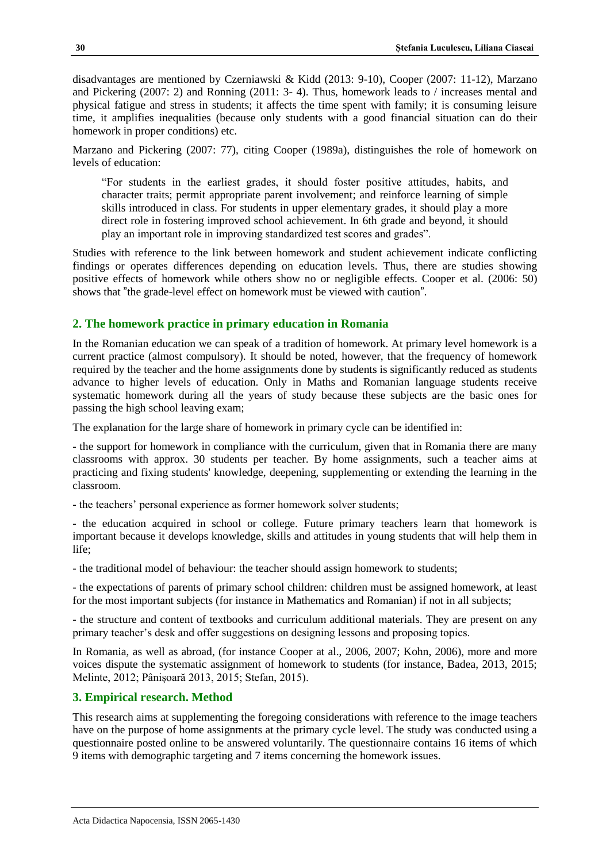disadvantages are mentioned by Czerniawski & Kidd (2013: 9-10), Cooper (2007: 11-12), Marzano and Pickering (2007: 2) and Ronning (2011: 3- 4). Thus, homework leads to / increases mental and physical fatigue and stress in students; it affects the time spent with family; it is consuming leisure time, it amplifies inequalities (because only students with a good financial situation can do their homework in proper conditions) etc.

Marzano and Pickering (2007: 77), citing Cooper (1989a), distinguishes the role of homework on levels of education:

"For students in the earliest grades, it should foster positive attitudes, habits, and character traits; permit appropriate parent involvement; and reinforce learning of simple skills introduced in class. For students in upper elementary grades, it should play a more direct role in fostering improved school achievement. In 6th grade and beyond, it should play an important role in improving standardized test scores and grades".

Studies with reference to the link between homework and student achievement indicate conflicting findings or operates differences depending on education levels. Thus, there are studies showing positive effects of homework while others show no or negligible effects. Cooper et al. (2006: 50) shows that "the grade-level effect on homework must be viewed with caution".

#### **2. The homework practice in primary education in Romania**

In the Romanian education we can speak of a tradition of homework. At primary level homework is a current practice (almost compulsory). It should be noted, however, that the frequency of homework required by the teacher and the home assignments done by students is significantly reduced as students advance to higher levels of education. Only in Maths and Romanian language students receive systematic homework during all the years of study because these subjects are the basic ones for passing the high school leaving exam;

The explanation for the large share of homework in primary cycle can be identified in:

- the support for homework in compliance with the curriculum, given that in Romania there are many classrooms with approx. 30 students per teacher. By home assignments, such a teacher aims at practicing and fixing students' knowledge, deepening, supplementing or extending the learning in the classroom.

- the teachers' personal experience as former homework solver students;

- the education acquired in school or college. Future primary teachers learn that homework is important because it develops knowledge, skills and attitudes in young students that will help them in life;

- the traditional model of behaviour: the teacher should assign homework to students;

- the expectations of parents of primary school children: children must be assigned homework, at least for the most important subjects (for instance in Mathematics and Romanian) if not in all subjects;

- the structure and content of textbooks and curriculum additional materials. They are present on any primary teacher's desk and offer suggestions on designing lessons and proposing topics.

In Romania, as well as abroad, (for instance Cooper at al., 2006, 2007; Kohn, 2006), more and more voices dispute the systematic assignment of homework to students (for instance, Badea, 2013, 2015; Melinte, 2012; Pânişoară 2013, 2015; Stefan, 2015).

#### **3. Empirical research. Method**

This research aims at supplementing the foregoing considerations with reference to the image teachers have on the purpose of home assignments at the primary cycle level. The study was conducted using a questionnaire posted online to be answered voluntarily. The questionnaire contains 16 items of which 9 items with demographic targeting and 7 items concerning the homework issues.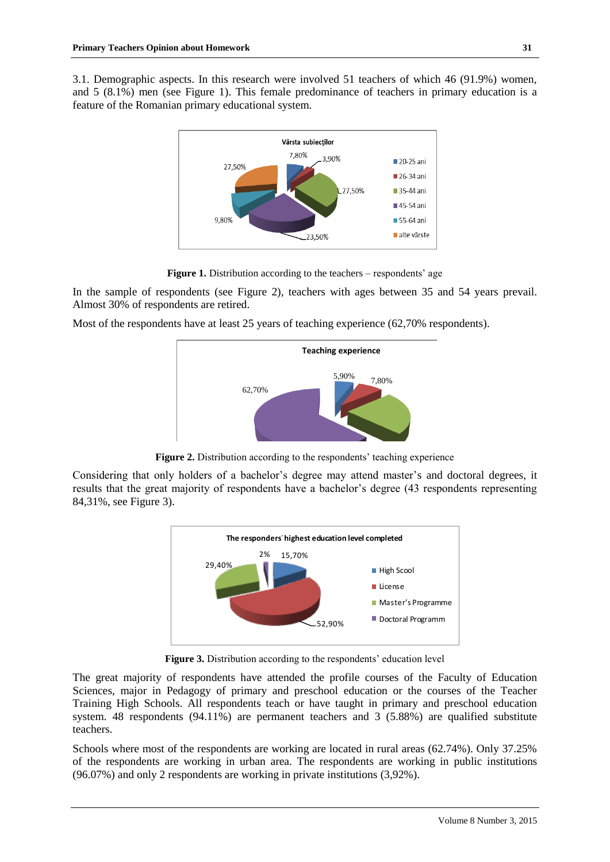3.1. Demographic aspects. In this research were involved 51 teachers of which 46 (91.9%) women, and 5 (8.1%) men (see Figure 1). This female predominance of teachers in primary education is a feature of the Romanian primary educational system.



**Figure 1.** Distribution according to the teachers – respondents' age

In the sample of respondents (see Figure 2), teachers with ages between 35 and 54 years prevail. Almost 30% of respondents are retired.

Most of the respondents have at least 25 years of teaching experience (62,70% respondents).



Figure 2. Distribution according to the respondents' teaching experience

Considering that only holders of a bachelor's degree may attend master's and doctoral degrees, it results that the great majority of respondents have a bachelor's degree (43 respondents representing 84,31%, see Figure 3).



**Figure 3.** Distribution according to the respondents' education level

The great majority of respondents have attended the profile courses of the Faculty of Education Sciences, major in Pedagogy of primary and preschool education or the courses of the Teacher Training High Schools. All respondents teach or have taught in primary and preschool education system. 48 respondents (94.11%) are permanent teachers and 3 (5.88%) are qualified substitute teachers.

Schools where most of the respondents are working are located in rural areas (62.74%). Only 37.25% of the respondents are working in urban area. The respondents are working in public institutions (96.07%) and only 2 respondents are working in private institutions (3,92%).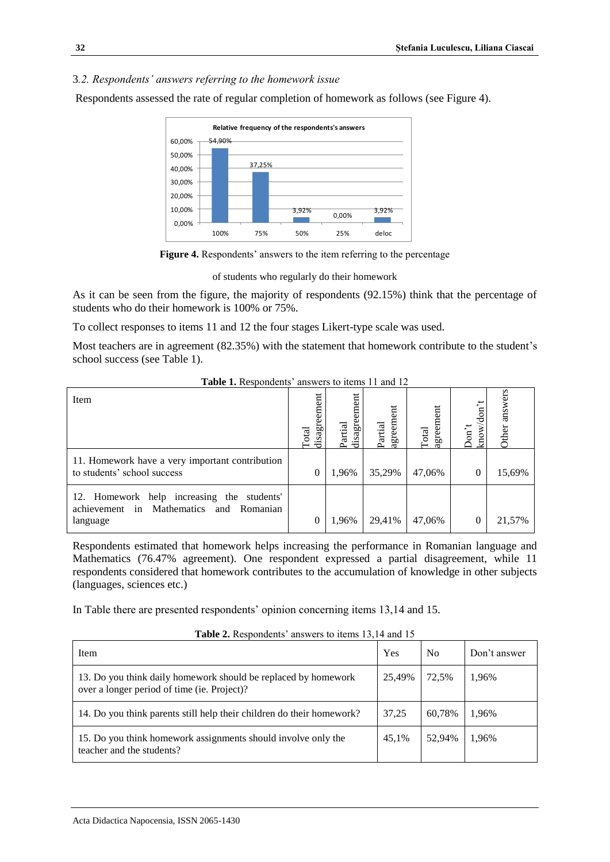#### 3*.2. Respondents' answers referring to the homework issue*

Respondents assessed the rate of regular completion of homework as follows (see Figure 4).





of students who regularly do their homework

As it can be seen from the figure, the majority of respondents (92.15%) think that the percentage of students who do their homework is 100% or 75%.

To collect responses to items 11 and 12 the four stages Likert-type scale was used.

Most teachers are in agreement (82.35%) with the statement that homework contribute to the student's school success (see Table 1).

| Item                                                                                              | disagreement<br><b>Total</b> | disagreement<br>Partial | greement<br>Partial | agreement<br>Total | don<br>know/<br>Don't | answers<br>Other |  |
|---------------------------------------------------------------------------------------------------|------------------------------|-------------------------|---------------------|--------------------|-----------------------|------------------|--|
| 11. Homework have a very important contribution<br>to students' school success                    |                              | 1,96%                   | 35,29%              | 47,06%             | 0                     | 15,69%           |  |
| 12. Homework help increasing the students'<br>achievement in Mathematics and Romanian<br>language |                              | 1,96%                   | 29,41%              | 47,06%             | 0                     | 21,57%           |  |

Table 1. Respondents' answers to items 11 and 12

Respondents estimated that homework helps increasing the performance in Romanian language and Mathematics (76.47% agreement). One respondent expressed a partial disagreement, while 11 respondents considered that homework contributes to the accumulation of knowledge in other subjects (languages, sciences etc.)

In Table there are presented respondents' opinion concerning items 13,14 and 15.

**Table 2.** Respondents' answers to items 13,14 and 15

| $\ddotsc$ . The complete that the contract of the contract of the contract of the contract of the contract of the contract of the contract of the contract of the contract of the contract of the contract of the contract of th |        |                |              |  |  |  |
|----------------------------------------------------------------------------------------------------------------------------------------------------------------------------------------------------------------------------------|--------|----------------|--------------|--|--|--|
| Item                                                                                                                                                                                                                             | Yes    | N <sub>0</sub> | Don't answer |  |  |  |
| 13. Do you think daily homework should be replaced by homework<br>over a longer period of time (ie. Project)?                                                                                                                    | 25.49% | 72,5%          | 1,96%        |  |  |  |
| 14. Do you think parents still help their children do their homework?                                                                                                                                                            | 37,25  | 60.78%         | 1,96%        |  |  |  |
| 15. Do you think homework assignments should involve only the<br>teacher and the students?                                                                                                                                       | 45.1%  | 52.94%         | 1,96%        |  |  |  |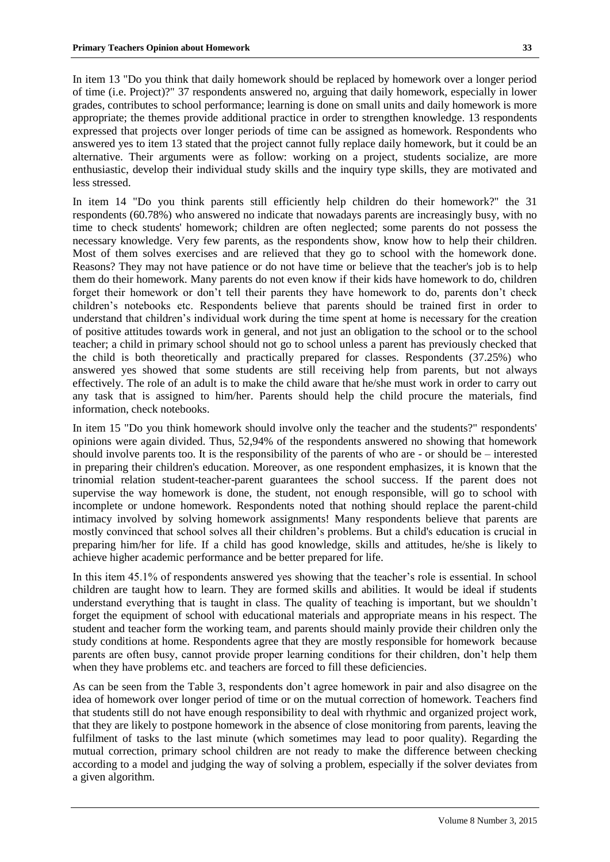In item 13 "Do you think that daily homework should be replaced by homework over a longer period of time (i.e. Project)?" 37 respondents answered no, arguing that daily homework, especially in lower grades, contributes to school performance; learning is done on small units and daily homework is more appropriate; the themes provide additional practice in order to strengthen knowledge. 13 respondents expressed that projects over longer periods of time can be assigned as homework. Respondents who answered yes to item 13 stated that the project cannot fully replace daily homework, but it could be an alternative. Their arguments were as follow: working on a project, students socialize, are more enthusiastic, develop their individual study skills and the inquiry type skills, they are motivated and less stressed.

In item 14 "Do you think parents still efficiently help children do their homework?" the 31 respondents (60.78%) who answered no indicate that nowadays parents are increasingly busy, with no time to check students' homework; children are often neglected; some parents do not possess the necessary knowledge. Very few parents, as the respondents show, know how to help their children. Most of them solves exercises and are relieved that they go to school with the homework done. Reasons? They may not have patience or do not have time or believe that the teacher's job is to help them do their homework. Many parents do not even know if their kids have homework to do, children forget their homework or don't tell their parents they have homework to do, parents don't check children's notebooks etc. Respondents believe that parents should be trained first in order to understand that children's individual work during the time spent at home is necessary for the creation of positive attitudes towards work in general, and not just an obligation to the school or to the school teacher; a child in primary school should not go to school unless a parent has previously checked that the child is both theoretically and practically prepared for classes. Respondents (37.25%) who answered yes showed that some students are still receiving help from parents, but not always effectively. The role of an adult is to make the child aware that he/she must work in order to carry out any task that is assigned to him/her. Parents should help the child procure the materials, find information, check notebooks.

In item 15 "Do you think homework should involve only the teacher and the students?" respondents' opinions were again divided. Thus, 52,94% of the respondents answered no showing that homework should involve parents too. It is the responsibility of the parents of who are - or should be – interested in preparing their children's education. Moreover, as one respondent emphasizes, it is known that the trinomial relation student-teacher-parent guarantees the school success. If the parent does not supervise the way homework is done, the student, not enough responsible, will go to school with incomplete or undone homework. Respondents noted that nothing should replace the parent-child intimacy involved by solving homework assignments! Many respondents believe that parents are mostly convinced that school solves all their children's problems. But a child's education is crucial in preparing him/her for life. If a child has good knowledge, skills and attitudes, he/she is likely to achieve higher academic performance and be better prepared for life.

In this item 45.1% of respondents answered yes showing that the teacher's role is essential. In school children are taught how to learn. They are formed skills and abilities. It would be ideal if students understand everything that is taught in class. The quality of teaching is important, but we shouldn't forget the equipment of school with educational materials and appropriate means in his respect. The student and teacher form the working team, and parents should mainly provide their children only the study conditions at home. Respondents agree that they are mostly responsible for homework because parents are often busy, cannot provide proper learning conditions for their children, don't help them when they have problems etc. and teachers are forced to fill these deficiencies.

As can be seen from the Table 3, respondents don't agree homework in pair and also disagree on the idea of homework over longer period of time or on the mutual correction of homework. Teachers find that students still do not have enough responsibility to deal with rhythmic and organized project work, that they are likely to postpone homework in the absence of close monitoring from parents, leaving the fulfilment of tasks to the last minute (which sometimes may lead to poor quality). Regarding the mutual correction, primary school children are not ready to make the difference between checking according to a model and judging the way of solving a problem, especially if the solver deviates from a given algorithm.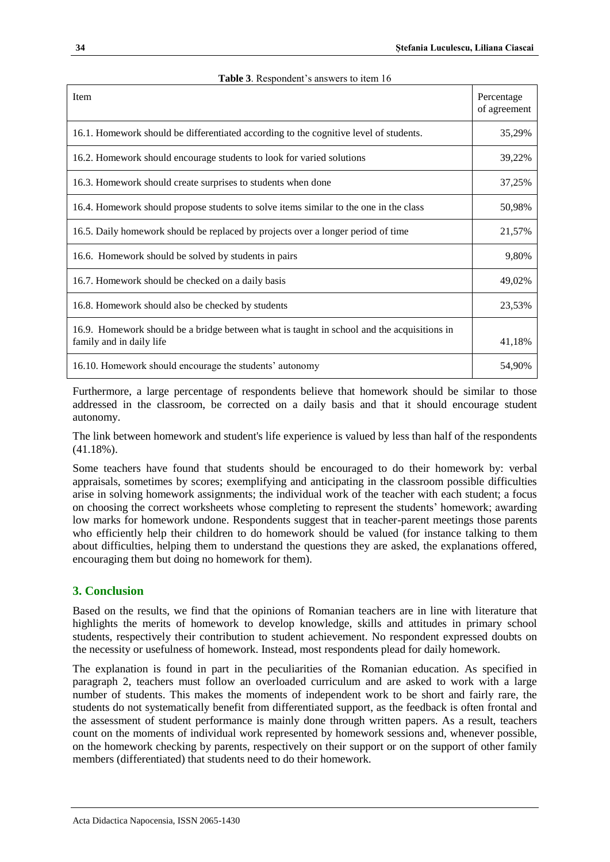| <b>Item</b>                                                                                                            | Percentage<br>of agreement |
|------------------------------------------------------------------------------------------------------------------------|----------------------------|
| 16.1. Homework should be differentiated according to the cognitive level of students.                                  |                            |
| 16.2. Homework should encourage students to look for varied solutions                                                  |                            |
| 16.3. Homework should create surprises to students when done                                                           |                            |
| 16.4. Homework should propose students to solve items similar to the one in the class                                  |                            |
| 16.5. Daily homework should be replaced by projects over a longer period of time                                       |                            |
| 16.6. Homework should be solved by students in pairs                                                                   |                            |
| 16.7. Homework should be checked on a daily basis                                                                      |                            |
| 16.8. Homework should also be checked by students                                                                      |                            |
| 16.9. Homework should be a bridge between what is taught in school and the acquisitions in<br>family and in daily life |                            |
| 16.10. Homework should encourage the students' autonomy                                                                |                            |

|  | Table 3. Respondent's answers to item 16 |  |
|--|------------------------------------------|--|
|--|------------------------------------------|--|

Furthermore, a large percentage of respondents believe that homework should be similar to those addressed in the classroom, be corrected on a daily basis and that it should encourage student autonomy.

The link between homework and student's life experience is valued by less than half of the respondents  $(41.18\%)$ .

Some teachers have found that students should be encouraged to do their homework by: verbal appraisals, sometimes by scores; exemplifying and anticipating in the classroom possible difficulties arise in solving homework assignments; the individual work of the teacher with each student; a focus on choosing the correct worksheets whose completing to represent the students' homework; awarding low marks for homework undone. Respondents suggest that in teacher-parent meetings those parents who efficiently help their children to do homework should be valued (for instance talking to them about difficulties, helping them to understand the questions they are asked, the explanations offered, encouraging them but doing no homework for them).

## **3. Conclusion**

Based on the results, we find that the opinions of Romanian teachers are in line with literature that highlights the merits of homework to develop knowledge, skills and attitudes in primary school students, respectively their contribution to student achievement. No respondent expressed doubts on the necessity or usefulness of homework. Instead, most respondents plead for daily homework.

The explanation is found in part in the peculiarities of the Romanian education. As specified in paragraph 2, teachers must follow an overloaded curriculum and are asked to work with a large number of students. This makes the moments of independent work to be short and fairly rare, the students do not systematically benefit from differentiated support, as the feedback is often frontal and the assessment of student performance is mainly done through written papers. As a result, teachers count on the moments of individual work represented by homework sessions and, whenever possible, on the homework checking by parents, respectively on their support or on the support of other family members (differentiated) that students need to do their homework.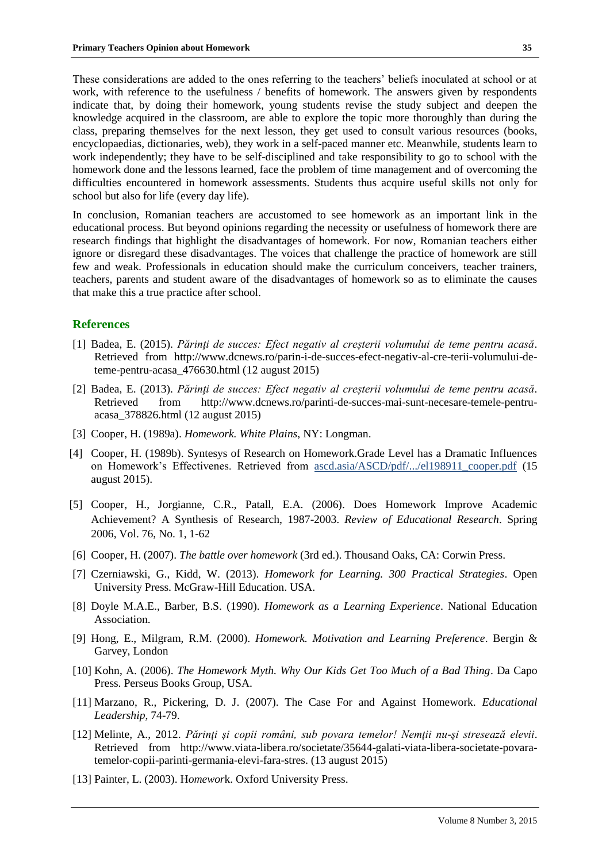These considerations are added to the ones referring to the teachers' beliefs inoculated at school or at work, with reference to the usefulness / benefits of homework. The answers given by respondents indicate that, by doing their homework, young students revise the study subject and deepen the knowledge acquired in the classroom, are able to explore the topic more thoroughly than during the class, preparing themselves for the next lesson, they get used to consult various resources (books, encyclopaedias, dictionaries, web), they work in a self-paced manner etc. Meanwhile, students learn to work independently; they have to be self-disciplined and take responsibility to go to school with the homework done and the lessons learned, face the problem of time management and of overcoming the difficulties encountered in homework assessments. Students thus acquire useful skills not only for school but also for life (every day life).

In conclusion, Romanian teachers are accustomed to see homework as an important link in the educational process. But beyond opinions regarding the necessity or usefulness of homework there are research findings that highlight the disadvantages of homework. For now, Romanian teachers either ignore or disregard these disadvantages. The voices that challenge the practice of homework are still few and weak. Professionals in education should make the curriculum conceivers, teacher trainers, teachers, parents and student aware of the disadvantages of homework so as to eliminate the causes that make this a true practice after school.

#### **References**

- [1] Badea, E. (2015). *Părinţi de succes: Efect negativ al creșterii volumului de teme pentru acasă*. Retrieved from http://www.dcnews.ro/parin-i-de-succes-efect-negativ-al-cre-terii-volumului-deteme-pentru-acasa\_476630.html (12 august 2015)
- [2] Badea, E. (2013). *Părinţi de succes: Efect negativ al creșterii volumului de teme pentru acasă*. Retrieved from http://www.dcnews.ro/parinti-de-succes-mai-sunt-necesare-temele-pentruacasa\_378826.html (12 august 2015)
- [3] Cooper, H. (1989a). *Homework. White Plains*, NY: Longman.
- [4] Cooper, H. (1989b). Syntesys of Research on Homework.Grade Level has a Dramatic Influences on Homework's Effectivenes. Retrieved from ascd.asia/ASCD/pdf/.../el198911\_cooper.pdf (15 august 2015).
- [5] Cooper, H., Jorgianne, C.R., Patall, E.A. (2006). Does Homework Improve Academic Achievement? A Synthesis of Research, 1987-2003. *Review of Educational Research*. Spring 2006, Vol. 76, No. 1, 1-62
- [6] Cooper, H. (2007). *The battle over homework* (3rd ed.). Thousand Oaks, CA: Corwin Press.
- [7] Czerniawski, G., Kidd, W. (2013). *Homework for Learning. 300 Practical Strategies*. Open University Press. McGraw-Hill Education. USA.
- [8] Doyle M.A.E., Barber, B.S. (1990). *Homework as a Learning Experience*. National Education Association.
- [9] Hong, E., Milgram, R.M. (2000). *Homework. Motivation and Learning Preference*. Bergin & Garvey, London
- [10] Kohn, A. (2006). *The Homework Myth. Why Our Kids Get Too Much of a Bad Thing*. Da Capo Press. Perseus Books Group, USA.
- [11] Marzano, R., Pickering, D. J. (2007). The Case For and Against Homework. *Educational Leadership*, 74-79.
- [12] Melinte, A., 2012. *Părinţi şi copii români, sub povara temelor! Nemţii nu-şi stresează elevii*. Retrieved from http://www.viata-libera.ro/societate/35644-galati-viata-libera-societate-povaratemelor-copii-parinti-germania-elevi-fara-stres. (13 august 2015)
- [13] Painter, L. (2003). H*omewor*k. Oxford University Press.